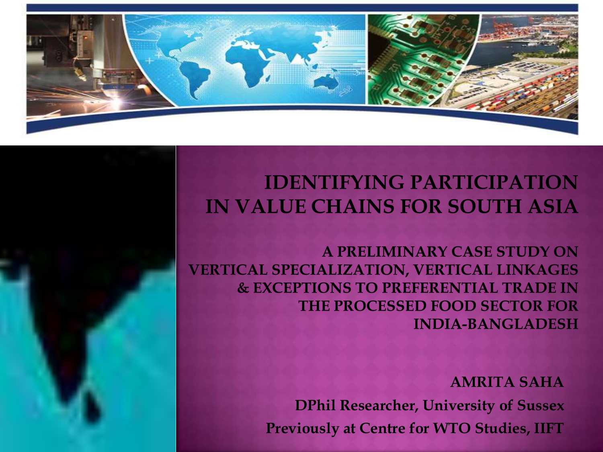

## **IDENTIFYING PARTICIPATION IN VALUE CHAINS FOR SOUTH ASIA**

A PRELIMINARY CASE STUDY ON **VERTICAL SPECIALIZATION, VERTICAL LINKAGES & EXCEPTIONS TO PREFERENTIAL TRADE IN** THE PROCESSED FOOD SECTOR FOR **INDIA-BANGLADESH** 

> **AMRITA SAHA DPhil Researcher, University of Sussex Previously at Centre for WTO Studies, IIFT**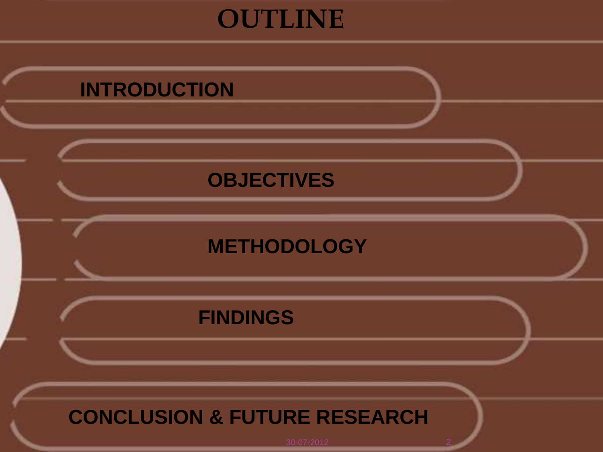# **OUTLINE**

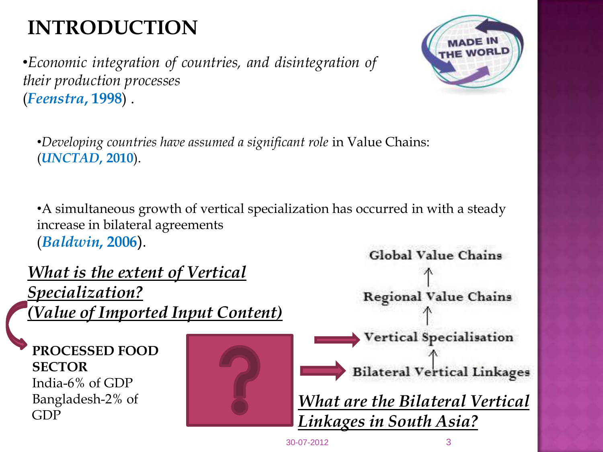# **INTRODUCTION**

•*Economic integration of countries, and disintegration of their production processes* (*Feenstra***, 1998**) .



•*Developing countries have assumed a significant role* in Value Chains: (*UNCTAD***, 2010**).

•A simultaneous growth of vertical specialization has occurred in with a steady increase in bilateral agreements (*Baldwin***, 2006**).

*What is the extent of Vertical Specialization? (Value of Imported Input Content)*

**PROCESSED FOOD SECTOR** India-6% of GDP Bangladesh-2% of GDP





30-07-2012 3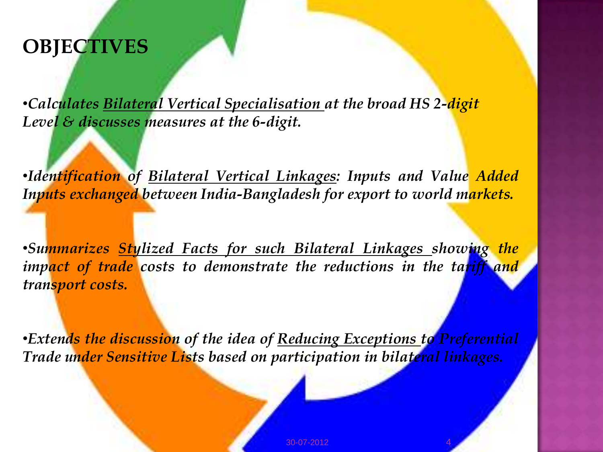# **OBJECTIVES**

•*Calculates Bilateral Vertical Specialisation at the broad HS 2-digit Level & discusses measures at the 6-digit.*

•*Identification of Bilateral Vertical Linkages: Inputs and Value Added Inputs exchanged between India-Bangladesh for export to world markets.*

•*Summarizes Stylized Facts for such Bilateral Linkages showing the impact of trade costs to demonstrate the reductions in the tariff and transport costs.*

•*Extends the discussion of the idea of Reducing Exceptions to Preferential Trade under Sensitive Lists based on participation in bilateral linkages.*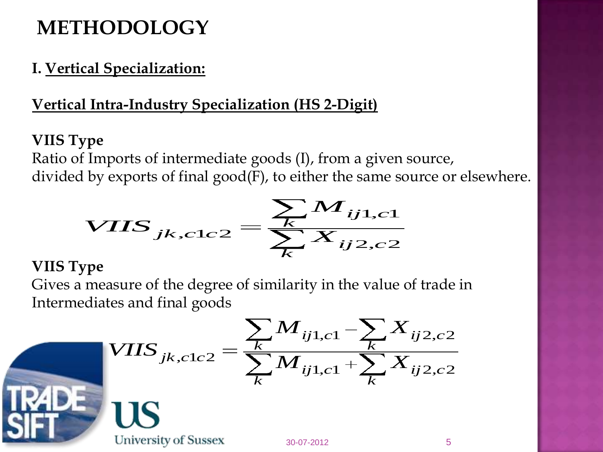# **METHODOLOGY**

## **I. Vertical Specialization:**

## **Vertical Intra-Industry Specialization (HS 2-Digit)**

## **VIIS Type**

Ratio of Imports of intermediate goods (I), from a given source, divided by exports of final good(F), to either the same source or elsewhere.

by exports of final good(F), to either the same so  

$$
VIIS_{jk,c1c2} = \frac{\sum_{k} M_{ij1,c1}}{\sum_{k} X_{ij2,c2}}
$$

#### **VIIS Type**

Gives a measure of the degree of similarity in the value of trade in<br>
Intermediates and final goods<br>  $\sum_{k} M_{ij1,c1} - \sum_{k} X_{ij2,c2}$ Intermediates and final goods



les and final goods

\n
$$
V IIS_{jk, clc2} = \frac{\sum_{k} M_{ij1, cl} - \sum_{k} X_{ij2, c2}}{\sum_{k} M_{ij1, cl} + \sum_{k} X_{ij2, c2}}
$$

University of Sussex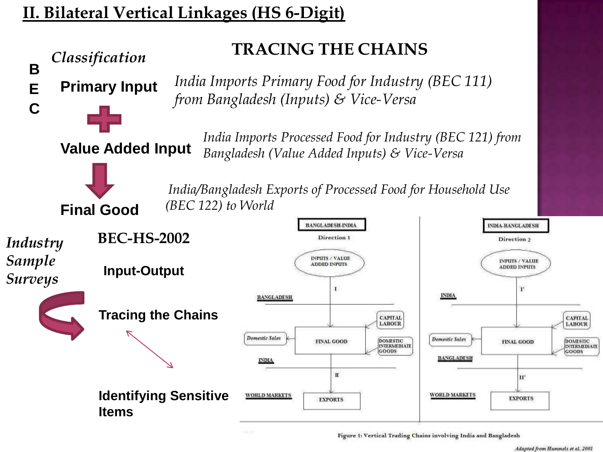### **II. Bilateral Vertical Linkages (HS 6-Digit)**



30-2012 6. 2012 6. 2012 6. 2012 6. 2012 6. 2012 6. 2012 6. 2012 6. 2012 6. 2012 6. 2012 6. 2012 6. 2012 6. 201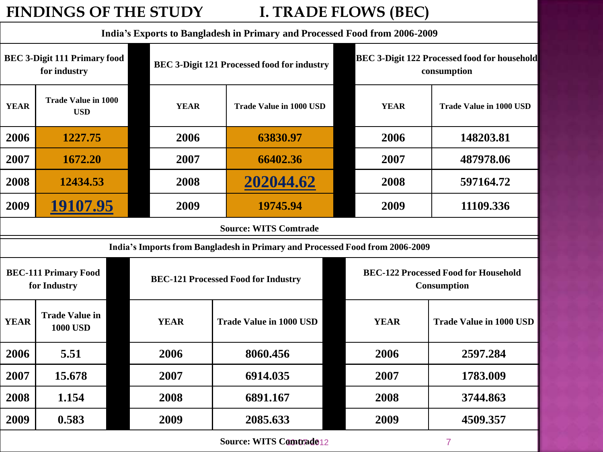#### **FINDINGS OF THE STUDY I. TRADE FLOWS (BEC)**

**India's Exports to Bangladesh in Primary and Processed Food from 2006-2009 BEC 3-Digit 111 Primary food for industry BEC 3-Digiterry BEC 3-Digiterry BEC 3-Digiterry BEC 3-Digiterry BEC 3-Digiterry BEC 3-Digiterry BEC 3-Digiterry BEC 3-Digiterry BEC 3-Digiterry BEC 3-Digiterry BEC 3-Digiterry BEC 3-Di consumption YEAR Trade Value in 1000**  VEAR **TRADE ISSUE ASSESSED FOR TRADE VEAR USD EXARECTE 1000 USD EXARECTE 1000 USD EXARECTE 1000 USD EXARECTE 1000 USD 2006 1227.75 2006 63830.97 2006 148203.81 2007 1672.20 2007 66402.36 2007 487978.06 2008 12434.53 2008 202044.62 2008 597164.72 2009 19107.95 2009 19745.94 2009 11109.336 Source: WITS Comtrade India's Imports from Bangladesh in Primary and Processed Food from 2006-2009 BEC-111 Primary Food for Industry BEC-121 Processed Food for Industry BEC-122 Processed Food for Household Consumption YEAR Trade Value in Trade Value in 1000 USD YEAR Trade Value in 1000 USD YEAR Trade Value in 1000 USD 2006 5.51 2006 8060.456 2006 2597.284 2007 15.678 2007 6914.035 2007 1783.009 2008 1.154 2008 6891.167 2008 3744.863 2009 0.583 2009 2085.633 2009 4509.357**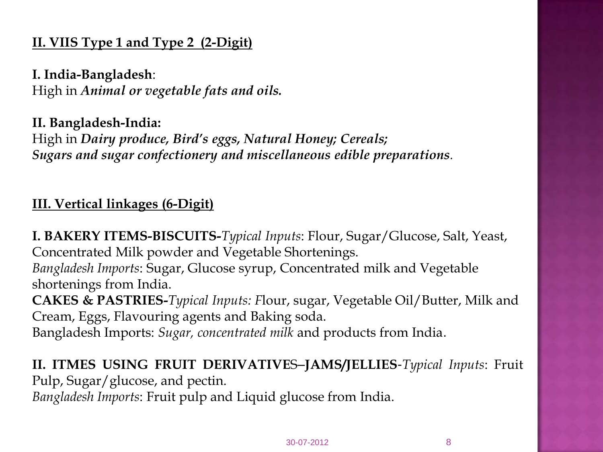#### **II. VIIS Type 1 and Type 2 (2-Digit)**

**I. India-Bangladesh**: High in *Animal or vegetable fats and oils.* 

**II. Bangladesh-India:** High in *Dairy produce, Bird's eggs, Natural Honey; Cereals; Sugars and sugar confectionery and miscellaneous edible preparations.*

#### **III. Vertical linkages (6-Digit)**

**I. BAKERY ITEMS-BISCUITS-***Typical Inputs*: Flour, Sugar/Glucose, Salt, Yeast, Concentrated Milk powder and Vegetable Shortenings. *Bangladesh Imports*: Sugar, Glucose syrup, Concentrated milk and Vegetable shortenings from India. **CAKES & PASTRIES-***Typical Inputs: F*lour, sugar, Vegetable Oil/Butter, Milk and Cream, Eggs, Flavouring agents and Baking soda. Bangladesh Imports: *Sugar, concentrated milk* and products from India.

**II. ITMES USING FRUIT DERIVATIVE**S–**JAMS/JELLIES**-*Typical Inputs*: Fruit Pulp, Sugar/glucose, and pectin.

*Bangladesh Imports*: Fruit pulp and Liquid glucose from India.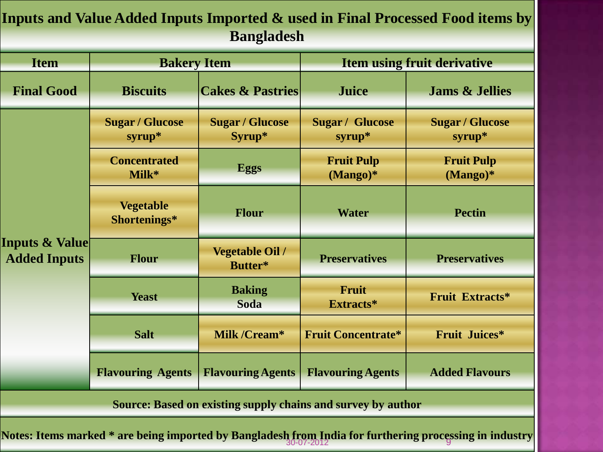#### **Inputs and Value Added Inputs Imported & used in Final Processed Food items by Bangladesh**

| <b>Item</b>                                                                                             | <b>Bakery Item</b>                 |                                   | <b>Item using fruit derivative</b> |                                    |  |  |
|---------------------------------------------------------------------------------------------------------|------------------------------------|-----------------------------------|------------------------------------|------------------------------------|--|--|
| <b>Final Good</b>                                                                                       | <b>Biscuits</b>                    | <b>Cakes &amp; Pastries</b>       | <b>Juice</b>                       | <b>Jams &amp; Jellies</b>          |  |  |
| <b>Inputs &amp; Value</b> [<br><b>Added Inputs</b>                                                      | <b>Sugar / Glucose</b><br>$syrup*$ | <b>Sugar / Glucose</b><br>Syrup*  | <b>Sugar / Glucose</b><br>$syrup*$ | <b>Sugar / Glucose</b><br>$syrup*$ |  |  |
|                                                                                                         | <b>Concentrated</b><br>Milk*       | <b>Eggs</b>                       | <b>Fruit Pulp</b><br>$(Mango)*$    | <b>Fruit Pulp</b><br>$(Mango)*$    |  |  |
|                                                                                                         | <b>Vegetable</b><br>Shortenings*   | <b>Flour</b>                      | <b>Water</b>                       | <b>Pectin</b>                      |  |  |
|                                                                                                         | <b>Flour</b>                       | <b>Vegetable Oil /</b><br>Butter* | <b>Preservatives</b>               | <b>Preservatives</b>               |  |  |
|                                                                                                         | <b>Yeast</b>                       | <b>Baking</b><br><b>Soda</b>      | Fruit<br>Extracts*                 | Fruit Extracts*                    |  |  |
|                                                                                                         | <b>Salt</b>                        | Milk /Cream*                      | <b>Fruit Concentrate*</b>          | <b>Fruit Juices*</b>               |  |  |
|                                                                                                         | <b>Flavouring Agents</b>           | <b>Flavouring Agents</b>          | <b>Flavouring Agents</b>           | <b>Added Flavours</b>              |  |  |
| <b>Source: Based on existing supply chains and survey by author</b>                                     |                                    |                                   |                                    |                                    |  |  |
| Notes: Items marked * are being imported by Bangladesh from India for furthering processing in industry |                                    |                                   |                                    |                                    |  |  |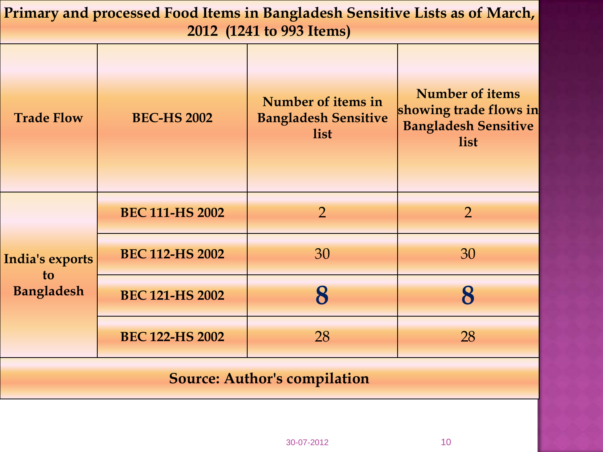| Primary and processed Food Items in Bangladesh Sensitive Lists as of March,<br>2012 (1241 to 993 Items) |                        |                                                           |                                                                                         |  |  |
|---------------------------------------------------------------------------------------------------------|------------------------|-----------------------------------------------------------|-----------------------------------------------------------------------------------------|--|--|
| <b>Trade Flow</b>                                                                                       | <b>BEC-HS 2002</b>     | Number of items in<br><b>Bangladesh Sensitive</b><br>list | <b>Number of items</b><br>showing trade flows in<br><b>Bangladesh Sensitive</b><br>list |  |  |
| India's exports<br>to<br><b>Bangladesh</b>                                                              | <b>BEC 111-HS 2002</b> | $\overline{2}$                                            | $\overline{2}$                                                                          |  |  |
|                                                                                                         | <b>BEC 112-HS 2002</b> | 30                                                        | 30                                                                                      |  |  |
|                                                                                                         | <b>BEC 121-HS 2002</b> | 8                                                         | 8                                                                                       |  |  |
|                                                                                                         | <b>BEC 122-HS 2002</b> | 28                                                        | 28                                                                                      |  |  |
|                                                                                                         |                        |                                                           |                                                                                         |  |  |

#### **Source: Author's compilation**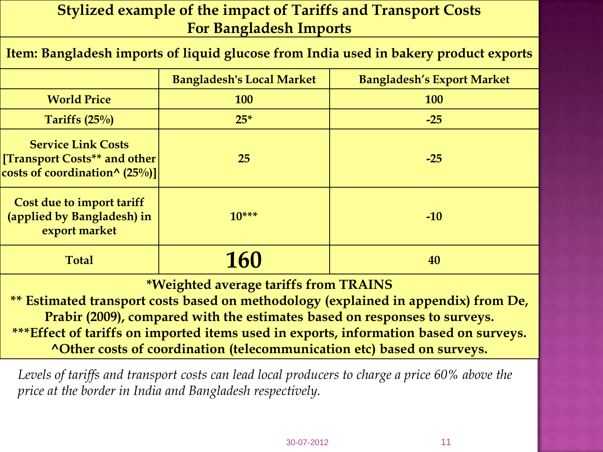#### **Stylized example of the impact of Tariffs and Transport Costs For Bangladesh Imports**

#### **Item: Bangladesh imports of liquid glucose from India used in bakery product exports**

|                                                                                                | <b>Bangladesh's Local Market</b> | <b>Bangladesh's Export Market</b> |
|------------------------------------------------------------------------------------------------|----------------------------------|-----------------------------------|
| <b>World Price</b>                                                                             | <b>100</b>                       | <b>100</b>                        |
| Tariffs $(25\%)$                                                                               | $25*$                            | $-25$                             |
| <b>Service Link Costs</b><br>[Transport Costs** and other]<br>costs of coordination^ $(25%)$ ] | 25                               | $-25$                             |
| Cost due to import tariff<br>(applied by Bangladesh) in<br>export market                       | $10***$                          | $-10$                             |
| <b>Total</b>                                                                                   | 160                              | 40                                |

**\*Weighted average tariffs from TRAINS** 

**\*\* Estimated transport costs based on methodology (explained in appendix) from De, Prabir (2009), compared with the estimates based on responses to surveys. \*\*\*Effect of tariffs on imported items used in exports, information based on surveys. ^Other costs of coordination (telecommunication etc) based on surveys.**

*Levels of tariffs and transport costs can lead local producers to charge a price 60% above the price at the border in India and Bangladesh respectively.*